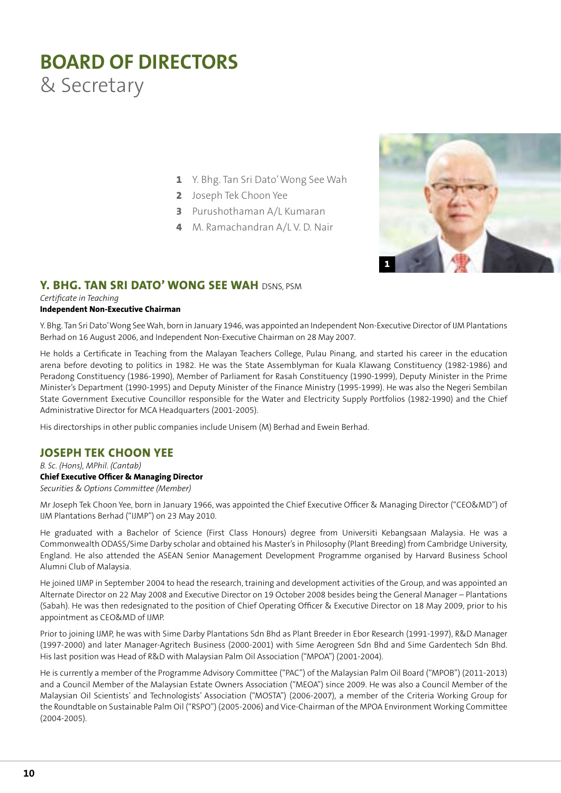# **BOARD OF DIRECTORS** & Secretary

- **1** Y. Bhg. Tan Sri Dato' Wong See Wah
- **2** Joseph Tek Choon Yee
- **3** Purushothaman A/L Kumaran
- **4** M. Ramachandran A/L V. D. Nair



# Y. BHG. TAN SRI DATO' WONG SEE WAH DSNS PSM

*Certificate in Teaching*

#### **Independent Non-Executive Chairman**

Y. Bhg. Tan Sri Dato' Wong See Wah, born in January 1946, was appointed an Independent Non-Executive Director of IJM Plantations Berhad on 16 August 2006, and Independent Non-Executive Chairman on 28 May 2007.

He holds a Certificate in Teaching from the Malayan Teachers College, Pulau Pinang, and started his career in the education arena before devoting to politics in 1982. He was the State Assemblyman for Kuala Klawang Constituency (1982-1986) and Peradong Constituency (1986-1990), Member of Parliament for Rasah Constituency (1990-1999), Deputy Minister in the Prime Minister's Department (1990-1995) and Deputy Minister of the Finance Ministry (1995-1999). He was also the Negeri Sembilan State Government Executive Councillor responsible for the Water and Electricity Supply Portfolios (1982-1990) and the Chief Administrative Director for MCA Headquarters (2001-2005).

His directorships in other public companies include Unisem (M) Berhad and Ewein Berhad.

## **JOSEPH TEK CHOON YEE**

*B. Sc. (Hons), MPhil. (Cantab)* **Chief Executive Officer & Managing Director** *Securities & Options Committee (Member)*

Mr Joseph Tek Choon Yee, born in January 1966, was appointed the Chief Executive Officer & Managing Director ("CEO&MD") of IJM Plantations Berhad ("IJMP") on 23 May 2010.

He graduated with a Bachelor of Science (First Class Honours) degree from Universiti Kebangsaan Malaysia. He was a Commonwealth ODASS/Sime Darby scholar and obtained his Master's in Philosophy (Plant Breeding) from Cambridge University, England. He also attended the ASEAN Senior Management Development Programme organised by Harvard Business School Alumni Club of Malaysia.

He joined IJMP in September 2004 to head the research, training and development activities of the Group, and was appointed an Alternate Director on 22 May 2008 and Executive Director on 19 October 2008 besides being the General Manager – Plantations (Sabah). He was then redesignated to the position of Chief Operating Officer & Executive Director on 18 May 2009, prior to his appointment as CEO&MD of IJMP.

Prior to joining IJMP, he was with Sime Darby Plantations Sdn Bhd as Plant Breeder in Ebor Research (1991-1997), R&D Manager (1997-2000) and later Manager-Agritech Business (2000-2001) with Sime Aerogreen Sdn Bhd and Sime Gardentech Sdn Bhd. His last position was Head of R&D with Malaysian Palm Oil Association ("MPOA") (2001-2004).

He is currently a member of the Programme Advisory Committee ("PAC") of the Malaysian Palm Oil Board ("MPOB") (2011-2013) and a Council Member of the Malaysian Estate Owners Association ("MEOA") since 2009. He was also a Council Member of the Malaysian Oil Scientists' and Technologists' Association ("MOSTA") (2006-2007), a member of the Criteria Working Group for the Roundtable on Sustainable Palm Oil ("RSPO") (2005-2006) and Vice-Chairman of the MPOA Environment Working Committee (2004-2005).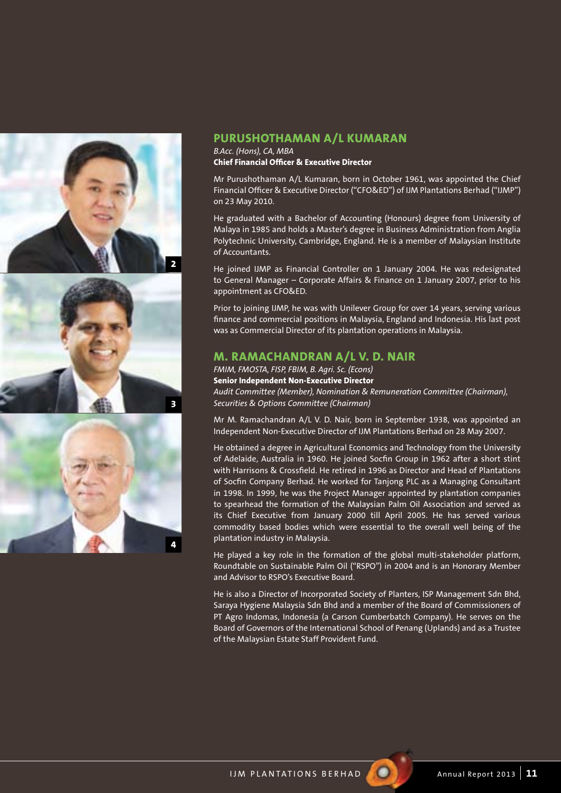





## **PURUSHOTHAMAN A/L KUMARAN**

*B.Acc. (Hons), CA, MBA* **Chief Financial Officer & Executive Director**

Mr Purushothaman A/L Kumaran, born in October 1961, was appointed the Chief Financial Officer & Executive Director ("CFO&ED") of IJM Plantations Berhad ("IJMP") on 23 May 2010.

He graduated with a Bachelor of Accounting (Honours) degree from University of Malaya in 1985 and holds a Master's degree in Business Administration from Anglia Polytechnic University, Cambridge, England. He is a member of Malaysian Institute of Accountants.

He joined IJMP as Financial Controller on 1 January 2004. He was redesignated to General Manager – Corporate Affairs & Finance on 1 January 2007, prior to his appointment as CFO&ED.

Prior to joining IJMP, he was with Unilever Group for over 14 years, serving various finance and commercial positions in Malaysia, England and Indonesia. His last post was as Commercial Director of its plantation operations in Malaysia.

## **M. RAMACHANDRAN A/L V. D. NAIR**

*FMIM, FMOSTA, FISP, FBIM, B. Agri. Sc. (Econs)* **Senior Independent Non-Executive Director** *Audit Committee (Member), Nomination & Remuneration Committee (Chairman), Securities & Options Committee (Chairman)*

Mr M. Ramachandran A/L V. D. Nair, born in September 1938, was appointed an Independent Non-Executive Director of IJM Plantations Berhad on 28 May 2007.

He obtained a degree in Agricultural Economics and Technology from the University of Adelaide, Australia in 1960. He joined Socfin Group in 1962 after a short stint with Harrisons & Crossfield. He retired in 1996 as Director and Head of Plantations of Socfin Company Berhad. He worked for Tanjong PLC as a Managing Consultant in 1998. In 1999, he was the Project Manager appointed by plantation companies to spearhead the formation of the Malaysian Palm Oil Association and served as its Chief Executive from January 2000 till April 2005. He has served various commodity based bodies which were essential to the overall well being of the plantation industry in Malaysia.

He played a key role in the formation of the global multi-stakeholder platform, Roundtable on Sustainable Palm Oil ("RSPO") in 2004 and is an Honorary Member and Advisor to RSPO's Executive Board.

He is also a Director of Incorporated Society of Planters, ISP Management Sdn Bhd, Saraya Hygiene Malaysia Sdn Bhd and a member of the Board of Commissioners of PT Agro Indomas, Indonesia (a Carson Cumberbatch Company). He serves on the Board of Governors of the International School of Penang (Uplands) and as a Trustee of the Malaysian Estate Staff Provident Fund.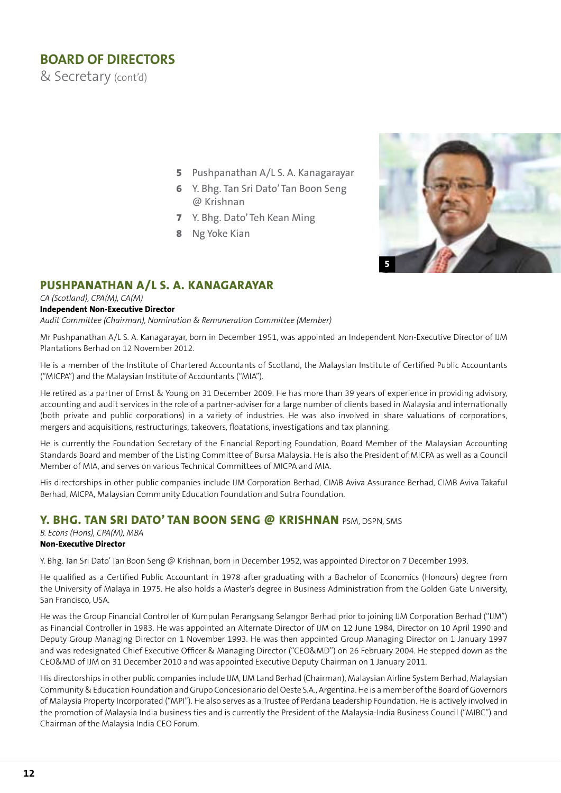# **BOARD OF DIRECTORS**

& Secretary (cont'd)

- **5** Pushpanathan A/L S. A. Kanagarayar
- **6** Y. Bhg. Tan Sri Dato' Tan Boon Seng @ Krishnan
- **7** Y. Bhg. Dato' Teh Kean Ming
- **8** Ng Yoke Kian



# **PUSHPANATHAN A/L S. A. KANAGARAYAR**

#### *CA (Scotland), CPA(M), CA(M)*

#### **Independent Non-Executive Director**

*Audit Committee (Chairman), Nomination & Remuneration Committee (Member)*

Mr Pushpanathan A/L S. A. Kanagarayar, born in December 1951, was appointed an Independent Non-Executive Director of IJM Plantations Berhad on 12 November 2012.

He is a member of the Institute of Chartered Accountants of Scotland, the Malaysian Institute of Certified Public Accountants ("MICPA") and the Malaysian Institute of Accountants ("MIA").

He retired as a partner of Ernst & Young on 31 December 2009. He has more than 39 years of experience in providing advisory, accounting and audit services in the role of a partner-adviser for a large number of clients based in Malaysia and internationally (both private and public corporations) in a variety of industries. He was also involved in share valuations of corporations, mergers and acquisitions, restructurings, takeovers, floatations, investigations and tax planning.

He is currently the Foundation Secretary of the Financial Reporting Foundation, Board Member of the Malaysian Accounting Standards Board and member of the Listing Committee of Bursa Malaysia. He is also the President of MICPA as well as a Council Member of MIA, and serves on various Technical Committees of MICPA and MIA.

His directorships in other public companies include IJM Corporation Berhad, CIMB Aviva Assurance Berhad, CIMB Aviva Takaful Berhad, MICPA, Malaysian Community Education Foundation and Sutra Foundation.

## **Y. BHG. TAN SRI DATO' TAN BOON SENG @ KRISHNAN** PSM. DSPN, SMS

*B. Econs (Hons), CPA(M), MBA* **Non-Executive Director**

Y. Bhg. Tan Sri Dato' Tan Boon Seng @ Krishnan, born in December 1952, was appointed Director on 7 December 1993.

He qualified as a Certified Public Accountant in 1978 after graduating with a Bachelor of Economics (Honours) degree from the University of Malaya in 1975. He also holds a Master's degree in Business Administration from the Golden Gate University, San Francisco, USA.

He was the Group Financial Controller of Kumpulan Perangsang Selangor Berhad prior to joining IJM Corporation Berhad ("IJM") as Financial Controller in 1983. He was appointed an Alternate Director of IJM on 12 June 1984, Director on 10 April 1990 and Deputy Group Managing Director on 1 November 1993. He was then appointed Group Managing Director on 1 January 1997 and was redesignated Chief Executive Officer & Managing Director ("CEO&MD") on 26 February 2004. He stepped down as the CEO&MD of IJM on 31 December 2010 and was appointed Executive Deputy Chairman on 1 January 2011.

His directorships in other public companies include IJM, IJM Land Berhad (Chairman), Malaysian Airline System Berhad, Malaysian Community & Education Foundation and Grupo Concesionario del Oeste S.A., Argentina. He is a member of the Board of Governors of Malaysia Property Incorporated ("MPI"). He also serves as a Trustee of Perdana Leadership Foundation. He is actively involved in the promotion of Malaysia India business ties and is currently the President of the Malaysia-India Business Council ("MIBC") and Chairman of the Malaysia India CEO Forum.